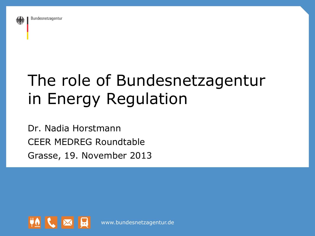

## The role of Bundesnetzagentur in Energy Regulation

Dr. Nadia Horstmann CEER MEDREG Roundtable Grasse, 19. November 2013



www.bundesnetzagentur.de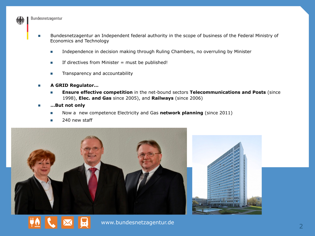

- n Bundesnetzagentur an Independent federal authority in the scope of business of the Federal Ministry of Economics and Technology
	- **n** Independence in decision making through Ruling Chambers, no overruling by Minister
	- $\blacksquare$  If directives from Minister = must be published!
	- **n** Transparency and accountability
- n **A GRID Regulator…** 
	- n **Ensure effective competition** in the net-bound sectors **Telecommunications and Posts** (since 1998), **Elec. and Gas** since 2005), and **Railways** (since 2006)
- …But not only
	- **n** Now a new competence Electricity and Gas **network planning** (since 2011)
	- **n** 240 new staff





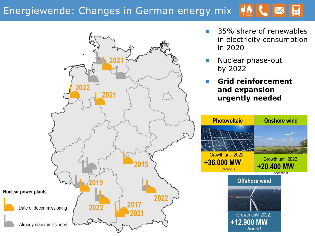## Energiewende: Changes in German energy mix



- 35% share of renewables in electricity consumption in 2020
- Nuclear phase-out by 2022
- n **Grid reinforcement and expansion urgently needed**

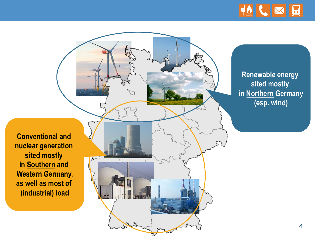

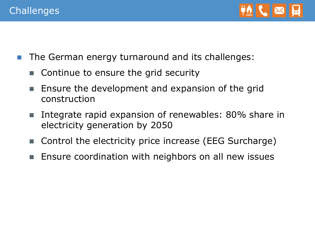

- The German energy turnaround and its challenges:
	- $\blacksquare$  Continue to ensure the grid security
	- Ensure the development and expansion of the grid construction
	- Integrate rapid expansion of renewables: 80% share in electricity generation by 2050
	- Control the electricity price increase (EEG Surcharge)
	- Ensure coordination with neighbors on all new issues